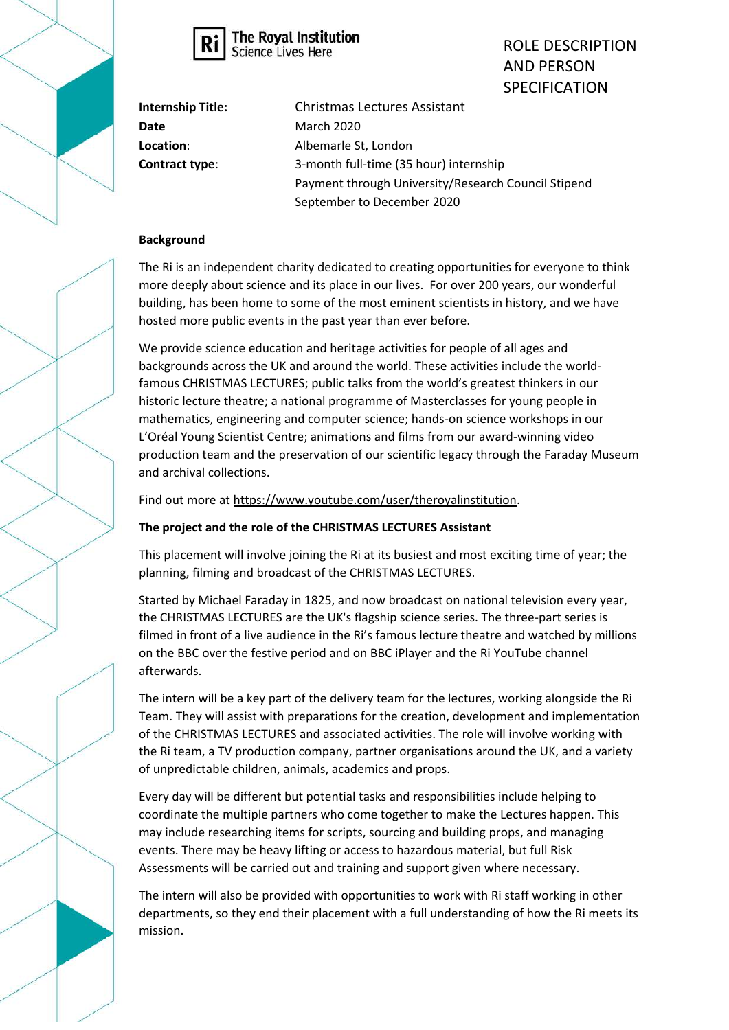



ROLE DESCRIPTION AND PERSON SPECIFICATION

**Internship Title:** Christmas Lectures Assistant **Date** March 2020 **Location**: Albemarle St, London **Contract type**: 3-month full-time (35 hour) internship Payment through University/Research Council Stipend September to December 2020

## **Background**

The Ri is an independent charity dedicated to creating opportunities for everyone to think more deeply about science and its place in our lives. For over 200 years, our wonderful building, has been home to some of the most eminent scientists in history, and we have hosted more public events in the past year than ever before.

We provide science education and heritage activities for people of all ages and backgrounds across the UK and around the world. These activities include the worldfamous CHRISTMAS LECTURES; public talks from the world's greatest thinkers in our historic lecture theatre; a national programme of Masterclasses for young people in mathematics, engineering and computer science; hands-on science workshops in our L'Oréal Young Scientist Centre; animations and films from our award-winning video production team and the preservation of our scientific legacy through the Faraday Museum and archival collections.

Find out more a[t https://www.youtube.com/user/theroyalinstitution.](https://www.youtube.com/user/theroyalinstitution)

## **The project and the role of the CHRISTMAS LECTURES Assistant**

This placement will involve joining the Ri at its busiest and most exciting time of year; the planning, filming and broadcast of the CHRISTMAS LECTURES.

Started by Michael Faraday in 1825, and now broadcast on national television every year, the CHRISTMAS LECTURES are the UK's flagship science series. The three-part series is filmed in front of a live audience in the Ri's famous lecture theatre and watched by millions on the BBC over the festive period and on BBC iPlayer and the Ri YouTube channel afterwards.

The intern will be a key part of the delivery team for the lectures, working alongside the Ri Team. They will assist with preparations for the creation, development and implementation of the CHRISTMAS LECTURES and associated activities. The role will involve working with the Ri team, a TV production company, partner organisations around the UK, and a variety of unpredictable children, animals, academics and props.

Every day will be different but potential tasks and responsibilities include helping to coordinate the multiple partners who come together to make the Lectures happen. This may include researching items for scripts, sourcing and building props, and managing events. There may be heavy lifting or access to hazardous material, but full Risk Assessments will be carried out and training and support given where necessary.

The intern will also be provided with opportunities to work with Ri staff working in other departments, so they end their placement with a full understanding of how the Ri meets its mission.